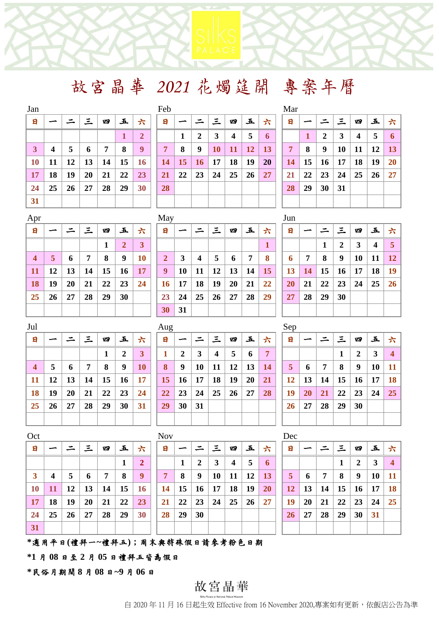故宮晶華 *2021* 花燭筵開 專案年曆

| Jan       |    |    |             |    |    |                | Feb       |    |    |           |    |                |    |             | Mar |    |    |    |    |    |           |
|-----------|----|----|-------------|----|----|----------------|-----------|----|----|-----------|----|----------------|----|-------------|-----|----|----|----|----|----|-----------|
| E         |    |    |             | 四  | 五  | 六              |           | 日  |    |           | 三  | 四              | 玉  | 六           | 日   |    |    | 三  | 四  | 五  | 六         |
|           |    |    |             |    |    | $\overline{2}$ |           |    |    | 2         | 3  | $\overline{4}$ | 5  | $\mathbf 6$ |     |    | 2  | 3  | 4  | 5  | -6        |
| 3         | 4  | 5. | $\mathbf b$ | 7  | 8  | 9              | 7         |    | 8  | 9         | 10 | 11             | 12 | 13          | 7   | 8  | 9  | 10 | 11 | 12 | <b>13</b> |
| <b>10</b> | 11 | 12 | 13          | 14 | 15 | <b>16</b>      |           | 14 | 15 | <b>16</b> | 17 | 18             | 19 | 20          | 14  | 15 | 16 | 17 | 18 | 19 | <b>20</b> |
| 17        | 18 | 19 | 20          | 21 | 22 | 23             | <b>21</b> |    | 22 | 23        | 24 | 25             | 26 | 27          | 21  | 22 | 23 | 24 | 25 | 26 | 27        |
| 24        | 25 | 26 | 27          | 28 | 29 | 30             |           | 28 |    |           |    |                |    |             | 28  | 29 | 30 | 31 |    |    |           |
| 31        |    |    |             |    |    |                |           |    |    |           |    |                |    |             |     |    |    |    |    |    |           |
|           |    |    |             |    |    |                |           |    |    |           |    |                |    |             |     |    |    |    |    |    |           |

| Jan          |    |    |    |    |    |              | Feb       |    |                |    |                  |           |           | Mar            |
|--------------|----|----|----|----|----|--------------|-----------|----|----------------|----|------------------|-----------|-----------|----------------|
| 日            |    |    | 三  | 四  | 五  | 六            | 日         |    |                | 三  | 四                | 五         | 늣         | 日              |
|              |    |    |    |    | 1  | $\mathbf{2}$ |           | 1  | $\overline{2}$ | 3  | $\boldsymbol{4}$ | 5         | 6         |                |
| $\mathbf{3}$ | 4  | 5  | 6  | 7  | 8  | 9            | 7         | 8  | 9              | 10 | <b>11</b>        | <b>12</b> | <b>13</b> | $\overline{7}$ |
| <b>10</b>    | 11 | 12 | 13 | 14 | 15 | 16           | <b>14</b> | 15 | <b>16</b>      | 17 | 18               | 19        | <b>20</b> | 14             |
| <b>17</b>    | 18 | 19 | 20 | 21 | 22 | 23           | <b>21</b> | 22 | 23             | 24 | 25               | 26        | 27        | 21             |
| 24           | 25 | 26 | 27 | 28 | 29 | 30           | 28        |    |                |    |                  |           |           | 28             |
| 31           |    |    |    |    |    |              |           |    |                |    |                  |           |           |                |

| Mar            |    |                |    |    |    |    |
|----------------|----|----------------|----|----|----|----|
| 日              |    |                | 三  | 四  | 玉  | 六  |
|                | 1  | $\overline{2}$ | 3  | 4  | 5  | 6  |
| $\overline{7}$ | 8  | 9              | 10 | 11 | 12 | 13 |
| 14             | 15 | 16             | 17 | 18 | 19 | 20 |
| 21             | 22 | 23             | 24 | 25 | 26 | 27 |
| 28             | 29 | 30             | 31 |    |    |    |
|                |    |                |    |    |    |    |

| Apr                     |    |    |    |    |    |    | May          |    |           |    |    |    |    | Jun |    |    |    |    |    |           |
|-------------------------|----|----|----|----|----|----|--------------|----|-----------|----|----|----|----|-----|----|----|----|----|----|-----------|
| E                       |    |    | 三  | 四  | 玉  | 六  | 日            |    |           | 三  | 四  | 五  | 六  | 日   |    |    | 三  | 四  | 五  | 六         |
|                         |    |    |    |    | 2  | 3  |              |    |           |    |    |    |    |     |    | 1  | 2  | 3  | 4  | -5        |
| $\overline{\mathbf{4}}$ | 5  | 6  | 7  | 8  | 9  | 10 | $\mathbf{2}$ | 3  | 4         | 5  | 6  | 7  | 8  | 6   | 7  | 8  | 9  | 10 | 11 | <b>12</b> |
| <b>11</b>               | 12 | 13 | 14 | 15 | 16 | 17 | 9            | 10 | <b>11</b> | 12 | 13 | 14 | 15 | 13  | 14 | 15 | 16 | 17 | 18 | <b>19</b> |
| 18                      | 19 | 20 | 21 | 22 | 23 | 24 | 16           | 17 | 18        | 19 | 20 | 21 | 22 | 20  | 21 | 22 | 23 | 24 | 25 | <b>26</b> |
| 25                      | 26 | 27 | 28 | 29 | 30 |    | 23           | 24 | 25        | 26 | 27 | 28 | 29 | 27  | 28 | 29 | 30 |    |    |           |
|                         |    |    |    |    |    |    | 30           | 31 |           |    |    |    |    |     |    |    |    |    |    |           |

| $\cdots$       |    |    |    |    |    |    |
|----------------|----|----|----|----|----|----|
| 日              |    |    |    | 四  | 玉  | 六  |
|                |    |    |    |    |    | 1  |
| $\overline{2}$ | 3  | 4  | 5  | 6  | 7  | 8  |
| $\overline{9}$ | 10 | 11 | 12 | 13 | 14 | 15 |
| 16             | 17 | 18 | 19 | 20 | 21 | 22 |
| 23             | 24 | 25 | 26 | 27 | 28 | 29 |
| 30             | 31 |    |    |    |    |    |

| J U.I.I |    |              |                  |    |                         |    |
|---------|----|--------------|------------------|----|-------------------------|----|
| 日       |    |              | 三                | 四  | 五                       | 六  |
|         |    | $\mathbf{1}$ | $\boldsymbol{2}$ | 3  | $\overline{\mathbf{4}}$ | 5  |
| 6       | 7  | 8            | 9                | 10 | 11                      | 12 |
| 13      | 14 | 15           | 16               | 17 | 18                      | 19 |
| 20      | 21 | 22           | 23               | 24 | 25                      | 26 |
| 27      | 28 | 29           | 30               |    |                         |    |
|         |    |              |                  |    |                         |    |

| I<br>$\sim$ | ×<br>I<br>v<br>. |
|-------------|------------------|
|             |                  |

| 日              |           |    | 三  | 四  | 五            | 늣         | $\mathbf{H}$    | ∽            |              | ' 三 -                   | 四               | 五         | 늣  | 日              | ∽         |                | 三  | 四         | 五  | 六              |
|----------------|-----------|----|----|----|--------------|-----------|-----------------|--------------|--------------|-------------------------|-----------------|-----------|----|----------------|-----------|----------------|----|-----------|----|----------------|
|                |           |    |    |    | $\mathbf{2}$ | 3         |                 | $\mathbf{2}$ | $\mathbf{3}$ | $\overline{\mathbf{4}}$ | 5               | 6         | 7  |                |           |                |    | 2         | 3  | $\overline{4}$ |
| $\overline{4}$ | 5         | 6  | 7  | 8  | 9            | <b>10</b> | 8               | 9            | 10           | 11                      | 12              | <b>13</b> | 14 | 5 <sup>5</sup> | 6         | $\overline{7}$ | 8  | 9         | 10 | <b>11</b>      |
| 11             | <b>12</b> | 13 | 14 | 15 | <b>16</b>    | <b>17</b> | 15 <sup>1</sup> | <b>16</b>    | 17           | 18                      | 19              | <b>20</b> | 21 | 12             | 13        | 14             | 15 | <b>16</b> | 17 | <b>18</b>      |
| 18             | 19        | 20 | 21 | 22 | 23           | 24        | 22              | 23           | 24           | 25                      | 26 <sup>1</sup> | 27        | 28 | 19             | <b>20</b> | 21             | 22 | 23        | 24 | 25             |
| 25             | 26        | 27 | 28 | 29 | 30           | 31        | 29              | 30           | 31           |                         |                 |           |    | <b>26</b>      | 27        | 28             | 29 | 30        |    |                |
|                |           |    |    |    |              |           |                 |              |              |                         |                 |           |    |                |           |                |    |           |    |                |

| Jul              |    |    |    |    |                  |           | Aug |    |    |    |    |    |                | Sep |
|------------------|----|----|----|----|------------------|-----------|-----|----|----|----|----|----|----------------|-----|
| 日                |    |    | 三  | 四  | 五                | 六         | 日   |    |    | 三  | 四  | 五  | 六              | 日   |
|                  |    |    |    | 1  | $\boldsymbol{2}$ | 3         | 1   | 2  | 3  | 4  | 5  | 6  | $\overline{7}$ |     |
| $\boldsymbol{4}$ | 5  | 6  | 7  | 8  | 9                | 10        | 8   | 9  | 10 | 11 | 12 | 13 | <b>14</b>      | -5  |
| <b>11</b>        | 12 | 13 | 14 | 15 | 16               | <b>17</b> | 15  | 16 | 17 | 18 | 19 | 20 | 21             | 12  |
| 18               | 19 | 20 | 21 | 22 | 23               | 24        | 22  | 23 | 24 | 25 | 26 | 27 | 28             | 19  |
| 25               | 26 | 27 | 28 | 29 | 30               | 31        | 29  | 30 | 31 |    |    |    |                | 26  |
|                  |    |    |    |    |                  |           |     |    |    |    |    |    |                |     |

| Oct          |    |    |    |    |    |    | <b>Nov</b> |    |    |    |    |    |                     | Dec |    |    |    |    |    |                |
|--------------|----|----|----|----|----|----|------------|----|----|----|----|----|---------------------|-----|----|----|----|----|----|----------------|
| $\mathbf{E}$ |    |    | 三  | 四  | 玉  | 六  | 日          |    |    | 三  | 四  | 玉  | 六                   | 日   |    |    | 三  | 四  | 五  | 六              |
|              |    |    |    |    | 1  | 2  |            |    | 2  | 3  | 4  | 5  | $\ddot{\mathbf{a}}$ |     |    |    |    | 2  | 3  | $\overline{4}$ |
| 3            | 4  | 5  | 6  | 7  | 8  | 9  | 7          | 8  | 9  | 10 | 11 | 12 | 13                  | 5   | 6  | 7  | 8  | 9  | 10 | <b>11</b>      |
| 10           | 11 | 12 | 13 | 14 | 15 | 16 | 14         | 15 | 16 | 17 | 18 | 19 | <b>20</b>           | 12  | 13 | 14 | 15 | 16 | 17 | <b>18</b>      |
| 17           | 18 | 19 | 20 | 21 | 22 | 23 | 21         | 22 | 23 | 24 | 25 | 26 | 27                  | 19  | 20 | 21 | 22 | 23 | 24 | 25             |
| 24           | 25 | 26 | 27 | 28 | 29 | 30 | 28         | 29 | 30 |    |    |    |                     | 26  | 27 | 28 | 29 | 30 | 31 |                |
| 31           |    |    |    |    |    |    |            |    |    |    |    |    |                     |     |    |    |    |    |    |                |

| сt             |                  |    |    |                |    |              | <b>NOV</b> |    |    |                 |                  |           |           | <b>Dec</b>  |    |    |    |           |    |                         |
|----------------|------------------|----|----|----------------|----|--------------|------------|----|----|-----------------|------------------|-----------|-----------|-------------|----|----|----|-----------|----|-------------------------|
| EI             |                  |    | 三  | 四              | 五  | 늣            | 日          |    |    | 三               | 四                | 五         | 六         | 日           |    |    | 三  | 四         | 五  | $\rightarrow$           |
|                |                  |    |    |                |    | $\mathbf{2}$ |            |    | 2  | 3               | $\boldsymbol{4}$ | 5         | 6         |             |    |    |    | 2         | 3  | $\overline{\mathbf{4}}$ |
| 3 <sup>1</sup> | $\boldsymbol{4}$ | 5  | 6  | $\overline{7}$ | 8  | 9            | 7          | 8  | 9  | 10              | 11               | 12        | 13        | $5^{\circ}$ | 6  | 7  | 8  | 9         | 10 | <b>11</b>               |
| 10             | <b>11</b>        | 12 | 13 | 14             | 15 | <b>16</b>    | 14         | 15 | 16 | 17 <sup>1</sup> | 18               | <b>19</b> | <b>20</b> | 12          | 13 | 14 | 15 | <b>16</b> | 17 | <b>18</b>               |
| 17             | 18               | 19 | 20 | 21             | 22 | <b>23</b>    | <b>21</b>  | 22 | 23 | 24              | 25               | 26        | 27        | 19          | 20 | 21 | 22 | 23        | 24 | 25                      |
| 24             | 25               | 26 | 27 | 28             | 29 | 30           | <b>28</b>  | 29 | 30 |                 |                  |           |           | 26          | 27 | 28 | 29 | 30        | 31 |                         |
|                |                  |    |    |                |    |              |            |    |    |                 |                  |           |           |             |    |    |    |           |    |                         |

| Dec |    |    |              |                  |    |    |
|-----|----|----|--------------|------------------|----|----|
| 日   |    |    | 三            | 四                | 玉  | 六  |
|     |    |    | $\mathbf{1}$ | $\boldsymbol{2}$ | 3  | 4  |
| 5   | 6  | 7  | 8            | 9                | 10 | 11 |
| 12  | 13 | 14 | 15           | 16               | 17 | 18 |
| 19  | 20 | 21 | 22           | 23               | 24 | 25 |
| 26  | 27 | 28 | 29           | 30               | 31 |    |
|     |    |    |              |                  |    |    |

**\***適用平日**(**禮拜一**~**禮拜五**)**;周末與特殊假日請參考粉色日期

**\*1** 月 **08** 日至 **2** 月 **05** 日禮拜五皆為假日

**\***民俗月期間 **8** 月 **08** 日**~9** 月 **06** 日

# 故宮晶華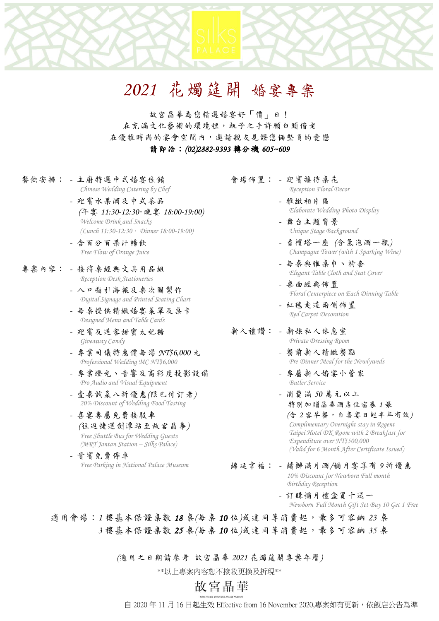# *2021* 花燭筵開 婚宴專案

故宮晶華為您精選婚宴好「價」日! 在充滿文化藝術的環境裡,執子之手許願白頭偕老 在優雅時尚的宴會空間內,邀請親友見證您倆堅貞的愛戀 請即洽:*(02)2882-9393* 轉分機 *605~609*

- 餐飲安排: *-* 主廚特選中式婚宴佳餚 *Chinese Wedding Catering by Chef*
	- *-* 迎賓水果酒及中式茶品 *(*午宴 *11:30-12:30*.晚宴 *18:00-19:00) Welcome Drink and Snacks (Lunch 11:30-12:30*.*Dinner 18:00-19:00)*
	- *-* 含百分百果汁暢飲 *Free Flow of Orange Juice*
- 專案內容: *-* 接待桌經典文具用品組 *Reception Desk Stationeries*
	- *-* 入口指引海報及桌次圖製作 *Digital Signage and Printed Seating Chart*
	- *-* 每桌提供精緻婚宴菜單及桌卡 *Designed Menu and Table Cards*
	- *-* 迎賓及送客甜蜜太妃糖 *Giveaway Candy*
	- *-* 專業司儀特惠價每場 *NT\$6,000* 元 *Professional Wedding MC NT\$6,000*
	- *-* 專業燈光、音響及高彩度投影設備 *Pro Audio and Visual Equipment*
	- *-* 壹桌試菜八折優惠*(*限已付訂者*) 20% Discount of Wedding Food Tasting*
	- *-* 喜宴專屬免費接駁車 *(*往返捷運劍潭站至故宮晶華*) Free Shuttle Bus for Wedding Guests (MRT Jantan Station – Silks Palace)*
	- *-* 貴賓免費停車 *Free Parking in National Palace Museum*
- 會場佈置: *-* 迎賓接待桌花
	- *Reception Floral Decor*
	- *-* 雅緻相片區 *Elaborate Wedding Photo Display*
	- *-* 舞台主題背景 *Unique Stage Background*
	- *-* 香檳塔一座 *(*含氣泡酒一瓶*) Champagne Tower (with 1 Sparking Wine)*
	- *-* 每桌典雅桌巾、椅套 *Elegant Table Cloth and Seat Cover*
	- *-* 桌面經典佈置 *Floral Centerpiece on Each Dinning Table*
	- *-* 紅毯走道兩側佈置 *Red Carpet Decoration*

#### 新人禮讚: *-* 新娘私人休息室 *Private Dressing Room*

- *-* 餐前新人精緻餐點 *Pre-Dinner Meal for the Newlyweds*
- *-* 專屬新人婚宴小管家 *Butler Service*
- *-* 消費滿 *50* 萬元以上 特別加贈晶華酒店住宿券 *1* 張  *(*含 *2* 客早餐,自喜宴日起半年有效*) Complimentary Overnight stay in Regent Taipei Hotel DK Room with 2 Breakfast for Expenditure over NT\$500,000 (Valid for 6 Month After Certificate Issued)*
- 綿延幸福: *-* 續辦滿月酒*/*彌月宴享有 *9* 折優惠 *10% Discount for Newborn Full month Birthday Reception*
	- *-* 訂購彌月禮盒買十送一 *Newborn Full Month Gift Set Buy 10 Get 1 Free*

適用會場:1樓基本保證桌數 18 桌(每桌 10位)或達同等消費起,最多可容納 23 桌  *3* 樓基本保證桌數 *25* 桌*(*每桌 *10* 位*)*或達同等消費起,最多可容納 *35* 桌

*(*適用之日期請參考 故宮晶華 *2021* 花燭筵開專案年曆*)*

\*\*以上專案內容恕不接收更換及折現\*\*

# 故宮晶華

自 2020 年 11 月 16 日起生效 Effective from 16 November 2020,專案如有更新,依飯店公告為準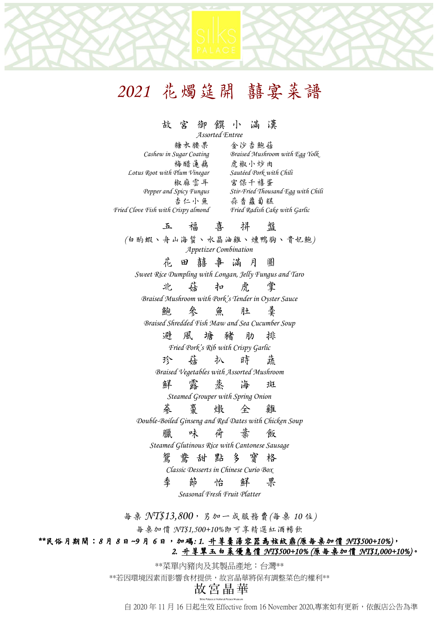# *2021* 花燭筵開 囍宴菜譜

### 故 宮 御 饌 小 滿 漢

*Assorted Entree*

**糖衣腰果** 金沙杏鮑菇<br>Cashew in Sugar Coating Braised Mushrow *Cashew in Sugar Coating Braised Mushroom with Egg Yolk* 梅醋蓮藕 虎椒小炒肉<br>Plum Vinegar Sautéed Pork with Chili *Lotus* Root with Plum Vinegar 椒麻雲耳 宮保千禧蛋<br>Pepper and Spicy Fungus Stir-Fried Thous *Pepper and Spicy Fungus Stir-Fried Thousand Egg with Chili* 杏仁小魚 蒜香蘿蔔糕 *Fried Clove Fish with Crispy almond Fried Radish Cake with Garlic*

## 五 福 喜 拼 盤

*(*白酌蝦、舟山海蜇、水晶油雞、燻鴨胸、貴妃鮑*) Appetizer Combination*

花田囍事 滿 月 圓

*Sweet Rice Dumpling with Longan, Jelly Fungus and Taro*

北 菇 扣 虎 掌 *Braised Mushroom with Pork's Tender in Oyster Sauce*

鮑 參 魚 肚 羹

*Braised Shredded Fish Maw and Sea Cucumber Soup*

避 風 塘 豬 肋 排

*Fried Pork's Rib with Crispy Garlic*

珍 菇 扒 時 蔬 *Braised Vegetables with Assorted Mushroom*

鮮 露蒸海 斑

*Steamed Grouper with Spring Onion*

蔘 棗 燉 全 雞

*Double-Boiled Ginseng and Red Dates with Chicken Soup* 

## 臘 味 荷 葉 飯

*Steamed Glutinous Rice with Cantonese Sausage*

### 鴛 鴦 甜 點 多 寶 格

*Classic Desserts in Chinese Curio Box*

季 節 怡 鮮 果

*Seasonal Fresh Fruit Platter*

每桌 *NT\$13,800*,另加一成服務費*(*每桌 *10* 位*)*

每桌加價 *NT\$1,500+10%*即可享精選紅酒暢飲

### *\*\**民俗月期間:*8* 月 *8* 日*~9* 月 *6* 日,加碼*: 1.* 升等羹湯容器為弦紋鼎*(*原每桌加價 *NT\$500+10%)*, *2.* 升等翠玉白菜優惠價 *NT\$500+10% (*原每桌加價 *NT\$1,000+10%)*。

\*\*菜單內豬肉及其製品產地:台灣\*\*

\*\*若因環境因素而影響食材提供,故宮晶華將保有調整菜色的權利\*\*

自 2020 年 11 月 16 日起生效 Effective from 16 November 2020,專案如有更新,依飯店公告為準